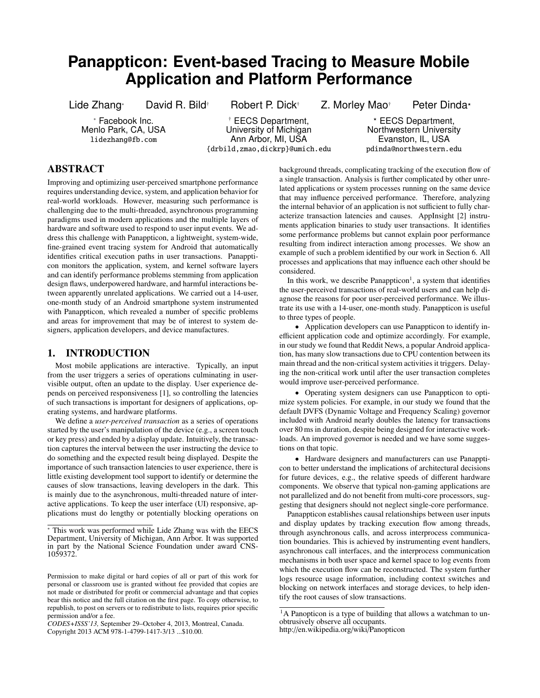# **Panappticon: Event-based Tracing to Measure Mobile Application and Platform Performance**

<sup>∗</sup> Facebook Inc. Menlo Park, CA, USA lidezhang@fb.com

† EECS Department, University of Michigan Ann Arbor, MI, USA {drbild,zmao,dickrp}@umich.edu

Lide Zhang<sup>∗</sup> David R. Bild† Robert P. Dick† Z. Morley Mao† Peter Dinda?

? EECS Department, Northwestern University Evanston, IL, USA pdinda@northwestern.edu

# ABSTRACT

Improving and optimizing user-perceived smartphone performance requires understanding device, system, and application behavior for real-world workloads. However, measuring such performance is challenging due to the multi-threaded, asynchronous programming paradigms used in modern applications and the multiple layers of hardware and software used to respond to user input events. We address this challenge with Panappticon, a lightweight, system-wide, fine-grained event tracing system for Android that automatically identifies critical execution paths in user transactions. Panappticon monitors the application, system, and kernel software layers and can identify performance problems stemming from application design flaws, underpowered hardware, and harmful interactions between apparently unrelated applications. We carried out a 14-user, one-month study of an Android smartphone system instrumented with Panappticon, which revealed a number of specific problems and areas for improvement that may be of interest to system designers, application developers, and device manufactures.

# 1. INTRODUCTION

Most mobile applications are interactive. Typically, an input from the user triggers a series of operations culminating in uservisible output, often an update to the display. User experience depends on perceived responsiveness [1], so controlling the latencies of such transactions is important for designers of applications, operating systems, and hardware platforms.

We define a *user-perceived transaction* as a series of operations started by the user's manipulation of the device (e.g., a screen touch or key press) and ended by a display update. Intuitively, the transaction captures the interval between the user instructing the device to do something and the expected result being displayed. Despite the importance of such transaction latencies to user experience, there is little existing development tool support to identify or determine the causes of slow transactions, leaving developers in the dark. This is mainly due to the asynchronous, multi-threaded nature of interactive applications. To keep the user interface (UI) responsive, applications must do lengthy or potentially blocking operations on background threads, complicating tracking of the execution flow of a single transaction. Analysis is further complicated by other unrelated applications or system processes running on the same device that may influence perceived performance. Therefore, analyzing the internal behavior of an application is not sufficient to fully characterize transaction latencies and causes. AppInsight [2] instruments application binaries to study user transactions. It identifies some performance problems but cannot explain poor performance resulting from indirect interaction among processes. We show an example of such a problem identified by our work in Section 6. All processes and applications that may influence each other should be considered.

In this work, we describe Panappticon<sup>1</sup>, a system that identifies the user-perceived transactions of real-world users and can help diagnose the reasons for poor user-perceived performance. We illustrate its use with a 14-user, one-month study. Panappticon is useful to three types of people.

• Application developers can use Panappticon to identify inefficient application code and optimize accordingly. For example, in our study we found that Reddit News, a popular Android application, has many slow transactions due to CPU contention between its main thread and the non-critical system activities it triggers. Delaying the non-critical work until after the user transaction completes would improve user-perceived performance.

• Operating system designers can use Panappticon to optimize system policies. For example, in our study we found that the default DVFS (Dynamic Voltage and Frequency Scaling) governor included with Android nearly doubles the latency for transactions over 80 ms in duration, despite being designed for interactive workloads. An improved governor is needed and we have some suggestions on that topic.

• Hardware designers and manufacturers can use Panappticon to better understand the implications of architectural decisions for future devices, e.g., the relative speeds of different hardware components. We observe that typical non-gaming applications are not parallelized and do not benefit from multi-core processors, suggesting that designers should not neglect single-core performance.

Panappticon establishes causal relationships between user inputs and display updates by tracking execution flow among threads, through asynchronous calls, and across interprocess communication boundaries. This is achieved by instrumenting event handlers, asynchronous call interfaces, and the interprocess communication mechanisms in both user space and kernel space to log events from which the execution flow can be reconstructed. The system further logs resource usage information, including context switches and blocking on network interfaces and storage devices, to help identify the root causes of slow transactions.

<sup>∗</sup> This work was performed while Lide Zhang was with the EECS Department, University of Michigan, Ann Arbor. It was supported in part by the National Science Foundation under award CNS-1059372.

Permission to make digital or hard copies of all or part of this work for personal or classroom use is granted without fee provided that copies are not made or distributed for profit or commercial advantage and that copies bear this notice and the full citation on the first page. To copy otherwise, to republish, to post on servers or to redistribute to lists, requires prior specific permission and/or a fee.

*CODES+ISSS'13,* September 29–October 4, 2013, Montreal, Canada. Copyright 2013 ACM 978-1-4799-1417-3/13 ...\$10.00.

 $<sup>1</sup>A$  Panopticon is a type of building that allows a watchman to un-</sup> obtrusively observe all occupants.

http://en.wikipedia.org/wiki/Panopticon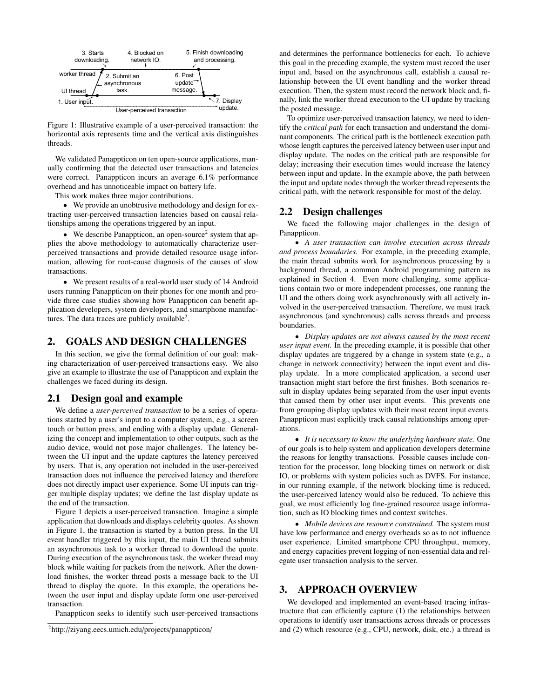

Figure 1: Illustrative example of a user-perceived transaction: the horizontal axis represents time and the vertical axis distinguishes threads.

We validated Panappticon on ten open-source applications, manually confirming that the detected user transactions and latencies were correct. Panappticon incurs an average 6.1% performance overhead and has unnoticeable impact on battery life.

This work makes three major contributions.

• We provide an unobtrusive methodology and design for extracting user-perceived transaction latencies based on causal relationships among the operations triggered by an input.

• We describe Panappticon, an open-source<sup>2</sup> system that applies the above methodology to automatically characterize userperceived transactions and provide detailed resource usage information, allowing for root-cause diagnosis of the causes of slow transactions.

• We present results of a real-world user study of 14 Android users running Panappticon on their phones for one month and provide three case studies showing how Panappticon can benefit application developers, system developers, and smartphone manufactures. The data traces are publicly available<sup>2</sup>.

#### 2. GOALS AND DESIGN CHALLENGES

In this section, we give the formal definition of our goal: making characterization of user-perceived transactions easy. We also give an example to illustrate the use of Panappticon and explain the challenges we faced during its design.

#### 2.1 Design goal and example

We define a *user-perceived transaction* to be a series of operations started by a user's input to a computer system, e.g., a screen touch or button press, and ending with a display update. Generalizing the concept and implementation to other outputs, such as the audio device, would not pose major challenges. The latency between the UI input and the update captures the latency perceived by users. That is, any operation not included in the user-perceived transaction does not influence the perceived latency and therefore does not directly impact user experience. Some UI inputs can trigger multiple display updates; we define the last display update as the end of the transaction.

Figure 1 depicts a user-perceived transaction. Imagine a simple application that downloads and displays celebrity quotes. As shown in Figure 1, the transaction is started by a button press. In the UI event handler triggered by this input, the main UI thread submits an asynchronous task to a worker thread to download the quote. During execution of the asynchronous task, the worker thread may block while waiting for packets from the network. After the download finishes, the worker thread posts a message back to the UI thread to display the quote. In this example, the operations between the user input and display update form one user-perceived transaction.

Panappticon seeks to identify such user-perceived transactions

and determines the performance bottlenecks for each. To achieve this goal in the preceding example, the system must record the user input and, based on the asynchronous call, establish a causal relationship between the UI event handling and the worker thread execution. Then, the system must record the network block and, finally, link the worker thread execution to the UI update by tracking the posted message.

To optimize user-perceived transaction latency, we need to identify the *critical path* for each transaction and understand the dominant components. The critical path is the bottleneck execution path whose length captures the perceived latency between user input and display update. The nodes on the critical path are responsible for delay; increasing their execution times would increase the latency between input and update. In the example above, the path between the input and update nodes through the worker thread represents the critical path, with the network responsible for most of the delay.

#### 2.2 Design challenges

We faced the following major challenges in the design of Panappticon.

• *A user transaction can involve execution across threads and process boundaries.* For example, in the preceding example, the main thread submits work for asynchronous processing by a background thread, a common Android programming pattern as explained in Section 4. Even more challenging, some applications contain two or more independent processes, one running the UI and the others doing work asynchronously with all actively involved in the user-perceived transaction. Therefore, we must track asynchronous (and synchronous) calls across threads and process boundaries.

• *Display updates are not always caused by the most recent user input event.* In the preceding example, it is possible that other display updates are triggered by a change in system state (e.g., a change in network connectivity) between the input event and display update. In a more complicated application, a second user transaction might start before the first finishes. Both scenarios result in display updates being separated from the user input events that caused them by other user input events. This prevents one from grouping display updates with their most recent input events. Panappticon must explicitly track causal relationships among operations.

• *It is necessary to know the underlying hardware state.* One of our goals is to help system and application developers determine the reasons for lengthy transactions. Possible causes include contention for the processor, long blocking times on network or disk IO, or problems with system policies such as DVFS. For instance, in our running example, if the network blocking time is reduced, the user-perceived latency would also be reduced. To achieve this goal, we must efficiently log fine-grained resource usage information, such as IO blocking times and context switches.

• *Mobile devices are resource constrained.* The system must have low performance and energy overheads so as to not influence user experience. Limited smartphone CPU throughput, memory, and energy capacities prevent logging of non-essential data and relegate user transaction analysis to the server.

#### 3. APPROACH OVERVIEW

We developed and implemented an event-based tracing infrastructure that can efficiently capture (1) the relationships between operations to identify user transactions across threads or processes and (2) which resource (e.g., CPU, network, disk, etc.) a thread is

<sup>2</sup>http://ziyang.eecs.umich.edu/projects/panappticon/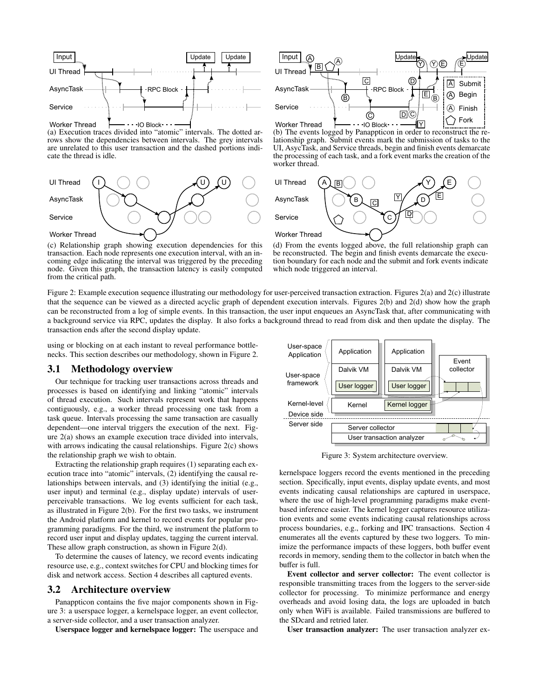

(a) Execution traces divided into "atomic" intervals. The dotted arrows show the dependencies between intervals. The grey intervals are unrelated to this user transaction and the dashed portions indicate the thread is idle.





(b) The events logged by Panappticon in order to reconstruct the relationship graph. Submit events mark the submission of tasks to the UI, AsycTask, and Service threads, begin and finish events demarcate the processing of each task, and a fork event marks the creation of the worker thread.



(c) Relationship graph showing execution dependencies for this transaction. Each node represents one execution interval, with an incoming edge indicating the interval was triggered by the preceding node. Given this graph, the transaction latency is easily computed from the critical path.

(d) From the events logged above, the full relationship graph can be reconstructed. The begin and finish events demarcate the execution boundary for each node and the submit and fork events indicate which node triggered an interval.

Figure 2: Example execution sequence illustrating our methodology for user-perceived transaction extraction. Figures 2(a) and 2(c) illustrate that the sequence can be viewed as a directed acyclic graph of dependent execution intervals. Figures 2(b) and 2(d) show how the graph can be reconstructed from a log of simple events. In this transaction, the user input enqueues an AsyncTask that, after communicating with a background service via RPC, updates the display. It also forks a background thread to read from disk and then update the display. The transaction ends after the second display update.

using or blocking on at each instant to reveal performance bottlenecks. This section describes our methodology, shown in Figure 2.

#### 3.1 Methodology overview

Our technique for tracking user transactions across threads and processes is based on identifying and linking "atomic" intervals of thread execution. Such intervals represent work that happens contiguously, e.g., a worker thread processing one task from a task queue. Intervals processing the same transaction are casually dependent—one interval triggers the execution of the next. Figure 2(a) shows an example execution trace divided into intervals, with arrows indicating the causal relationships. Figure 2(c) shows the relationship graph we wish to obtain.

Extracting the relationship graph requires (1) separating each execution trace into "atomic" intervals, (2) identifying the causal relationships between intervals, and (3) identifying the initial (e.g., user input) and terminal (e.g., display update) intervals of userperceivable transactions. We log events sufficient for each task, as illustrated in Figure 2(b). For the first two tasks, we instrument the Android platform and kernel to record events for popular programming paradigms. For the third, we instrument the platform to record user input and display updates, tagging the current interval. These allow graph construction, as shown in Figure 2(d).

To determine the causes of latency, we record events indicating resource use, e.g., context switches for CPU and blocking times for disk and network access. Section 4 describes all captured events.

#### 3.2 Architecture overview

Panappticon contains the five major components shown in Figure 3: a userspace logger, a kernelspace logger, an event collector, a server-side collector, and a user transaction analyzer.

Userspace logger and kernelspace logger: The userspace and



Figure 3: System architecture overview.

kernelspace loggers record the events mentioned in the preceding section. Specifically, input events, display update events, and most events indicating causal relationships are captured in userspace, where the use of high-level programming paradigms make eventbased inference easier. The kernel logger captures resource utilization events and some events indicating causal relationships across process boundaries, e.g., forking and IPC transactions. Section 4 enumerates all the events captured by these two loggers. To minimize the performance impacts of these loggers, both buffer event records in memory, sending them to the collector in batch when the buffer is full.

Event collector and server collector: The event collector is responsible transmitting traces from the loggers to the server-side collector for processing. To minimize performance and energy overheads and avoid losing data, the logs are uploaded in batch only when WiFi is available. Failed transmissions are buffered to the SDcard and retried later.

User transaction analyzer: The user transaction analyzer ex-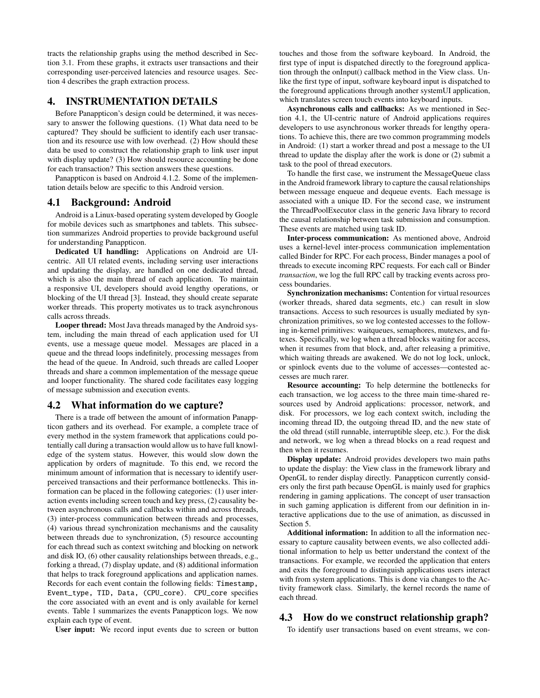tracts the relationship graphs using the method described in Section 3.1. From these graphs, it extracts user transactions and their corresponding user-perceived latencies and resource usages. Section 4 describes the graph extraction process.

# 4. INSTRUMENTATION DETAILS

Before Panappticon's design could be determined, it was necessary to answer the following questions. (1) What data need to be captured? They should be sufficient to identify each user transaction and its resource use with low overhead. (2) How should these data be used to construct the relationship graph to link user input with display update? (3) How should resource accounting be done for each transaction? This section answers these questions.

Panappticon is based on Android 4.1.2. Some of the implementation details below are specific to this Android version.

#### 4.1 Background: Android

Android is a Linux-based operating system developed by Google for mobile devices such as smartphones and tablets. This subsection summarizes Android properties to provide background useful for understanding Panappticon.

Dedicated UI handling: Applications on Android are UIcentric. All UI related events, including serving user interactions and updating the display, are handled on one dedicated thread, which is also the main thread of each application. To maintain a responsive UI, developers should avoid lengthy operations, or blocking of the UI thread [3]. Instead, they should create separate worker threads. This property motivates us to track asynchronous calls across threads.

Looper thread: Most Java threads managed by the Android system, including the main thread of each application used for UI events, use a message queue model. Messages are placed in a queue and the thread loops indefinitely, processing messages from the head of the queue. In Android, such threads are called Looper threads and share a common implementation of the message queue and looper functionality. The shared code facilitates easy logging of message submission and execution events.

#### 4.2 What information do we capture?

There is a trade off between the amount of information Panappticon gathers and its overhead. For example, a complete trace of every method in the system framework that applications could potentially call during a transaction would allow us to have full knowledge of the system status. However, this would slow down the application by orders of magnitude. To this end, we record the minimum amount of information that is necessary to identify userperceived transactions and their performance bottlenecks. This information can be placed in the following categories: (1) user interaction events including screen touch and key press, (2) causality between asynchronous calls and callbacks within and across threads, (3) inter-process communication between threads and processes, (4) various thread synchronization mechanisms and the causality between threads due to synchronization, (5) resource accounting for each thread such as context switching and blocking on network and disk IO, (6) other causality relationships between threads, e.g., forking a thread, (7) display update, and (8) additional information that helps to track foreground applications and application names. Records for each event contain the following fields: Timestamp, Event\_type, TID, Data, (CPU\_core). CPU\_core specifies the core associated with an event and is only available for kernel events. Table 1 summarizes the events Panappticon logs. We now explain each type of event.

User input: We record input events due to screen or button

touches and those from the software keyboard. In Android, the first type of input is dispatched directly to the foreground application through the onInput() callback method in the View class. Unlike the first type of input, software keyboard input is dispatched to the foreground applications through another systemUI application, which translates screen touch events into keyboard inputs.

Asynchronous calls and callbacks: As we mentioned in Section 4.1, the UI-centric nature of Android applications requires developers to use asynchronous worker threads for lengthy operations. To achieve this, there are two common programming models in Android: (1) start a worker thread and post a message to the UI thread to update the display after the work is done or (2) submit a task to the pool of thread executors.

To handle the first case, we instrument the MessageQueue class in the Android framework library to capture the causal relationships between message enqueue and dequeue events. Each message is associated with a unique ID. For the second case, we instrument the ThreadPoolExecutor class in the generic Java library to record the causal relationship between task submission and consumption. These events are matched using task ID.

Inter-process communication: As mentioned above, Android uses a kernel-level inter-process communication implementation called Binder for RPC. For each process, Binder manages a pool of threads to execute incoming RPC requests. For each call or Binder *transaction*, we log the full RPC call by tracking events across process boundaries.

Synchronization mechanisms: Contention for virtual resources (worker threads, shared data segments, etc.) can result in slow transactions. Access to such resources is usually mediated by synchronization primitives, so we log contested accesses to the following in-kernel primitives: waitqueues, semaphores, mutexes, and futexes. Specifically, we log when a thread blocks waiting for access, when it resumes from that block, and, after releasing a primitive, which waiting threads are awakened. We do not log lock, unlock, or spinlock events due to the volume of accesses—contested accesses are much rarer.

Resource accounting: To help determine the bottlenecks for each transaction, we log access to the three main time-shared resources used by Android applications: processor, network, and disk. For processors, we log each context switch, including the incoming thread ID, the outgoing thread ID, and the new state of the old thread (still runnable, interruptible sleep, etc.). For the disk and network, we log when a thread blocks on a read request and then when it resumes.

Display update: Android provides developers two main paths to update the display: the View class in the framework library and OpenGL to render display directly. Panappticon currently considers only the first path because OpenGL is mainly used for graphics rendering in gaming applications. The concept of user transaction in such gaming application is different from our definition in interactive applications due to the use of animation, as discussed in Section 5.

Additional information: In addition to all the information necessary to capture causality between events, we also collected additional information to help us better understand the context of the transactions. For example, we recorded the application that enters and exits the foreground to distinguish applications users interact with from system applications. This is done via changes to the Activity framework class. Similarly, the kernel records the name of each thread.

## 4.3 How do we construct relationship graph?

To identify user transactions based on event streams, we con-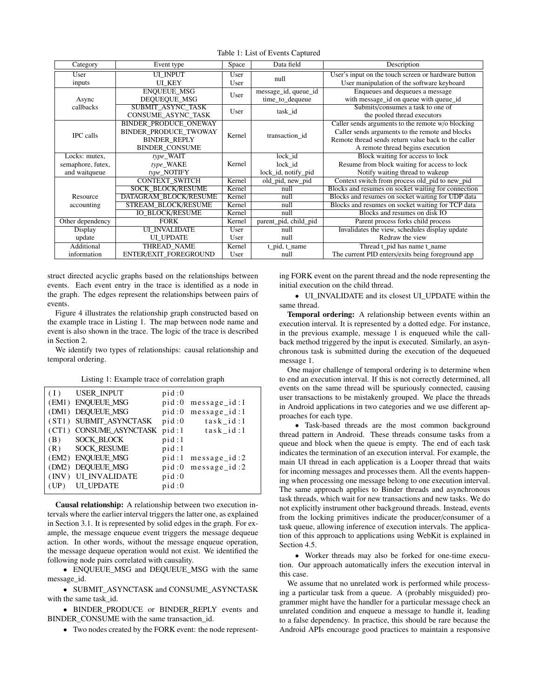Table 1: List of Events Captured

| Category          | Event type                   | Space  | Data field                   | Description                                         |
|-------------------|------------------------------|--------|------------------------------|-----------------------------------------------------|
| User              | <b>UI INPUT</b>              | User   | null                         | User's input on the touch screen or hardware button |
| inputs            | UI KEY                       | User   |                              | User manipulation of the software keyboard          |
|                   | <b>ENOUEUE MSG</b>           | User   | message_id, queue_id         | Enqueues and dequeues a message                     |
| Async             | DEQUEQUE_MSG                 |        | time_to_dequeue              | with message_id on queue with queue_id              |
| callbacks         | <b>SUBMIT ASYNC TASK</b>     | User   | task id                      | Submits/consumes a task to one of                   |
|                   | CONSUME_ASYNC_TASK           |        |                              | the pooled thread executors                         |
|                   | <b>BINDER PRODUCE ONEWAY</b> |        | transaction id               | Caller sends arguments to the remote w/o blocking   |
| <b>IPC</b> calls  | <b>BINDER PRODUCE TWOWAY</b> | Kernel |                              | Caller sends arguments to the remote and blocks     |
|                   | <b>BINDER REPLY</b>          |        |                              | Remote thread sends return value back to the caller |
|                   | BINDER_CONSUME               |        |                              | A remote thread begins execution                    |
| Locks: mutex,     | type_WAIT                    |        | lock id                      | Block waiting for access to lock                    |
| semaphore, futex, | type_WAKE                    | Kernel | lock id                      | Resume from block waiting for access to lock        |
| and waitqueue     | type_NOTIFY                  |        | lock_id, notify_pid          | Notify waiting thread to wakeup                     |
|                   | <b>CONTEXT SWITCH</b>        | Kernel | old_pid, new_pid             | Context switch from process old_pid to new_pid      |
|                   | <b>SOCK BLOCK/RESUME</b>     | Kernel | null                         | Blocks and resumes on socket waiting for connection |
| Resource          | DATAGRAM BLOCK/RESUME        | Kernel | null                         | Blocks and resumes on socket waiting for UDP data   |
| accounting        | <b>STREAM BLOCK/RESUME</b>   | Kernel | null                         | Blocks and resumes on socket waiting for TCP data   |
|                   | <b>IO BLOCK/RESUME</b>       | Kernel | null                         | Blocks and resumes on disk IO                       |
| Other dependency  | <b>FORK</b>                  | Kernel | parent_pid, child_pid        | Parent process forks child process                  |
| Display           | UI INVALIDATE                | User   | null                         | Invalidates the view, schedules display update      |
| update            | UI UPDATE                    | User   | null                         | Redraw the view                                     |
| Additional        | THREAD NAME                  | Kernel | $t$ <sub>[pid, t_name]</sub> | Thread t_pid has name t_name                        |
| information       | <b>ENTER/EXIT FOREGROUND</b> | User   | null                         | The current PID enters/exits being foreground app   |

struct directed acyclic graphs based on the relationships between events. Each event entry in the trace is identified as a node in the graph. The edges represent the relationships between pairs of events.

Figure 4 illustrates the relationship graph constructed based on the example trace in Listing 1. The map between node name and event is also shown in the trace. The logic of the trace is described in Section 2.

We identify two types of relationships: causal relationship and temporal ordering.

Listing 1: Example trace of correlation graph

| (1)   | <b>USER INPUT</b>       | pid:0 |                |
|-------|-------------------------|-------|----------------|
|       | (EM1) ENOUEUE MSG       | pid:0 | $message_id:1$ |
|       | (DM1) DEQUEUE_MSG       | pid:0 | $message_id:1$ |
| (ST1) | SUBMIT_ASYNCTASK        | pid:0 | task id:1      |
|       | (CT1) CONSUME_ASYNCTASK | pid:1 | task id:1      |
| (B)   | <b>SOCK BLOCK</b>       | pid:1 |                |
| (R)   | <b>SOCK RESUME</b>      | pid:1 |                |
|       | (EM2) ENQUEUE MSG       | pid:1 | $message_id:2$ |
|       | (DM2) DEOUEUE MSG       | pid:0 | $message_id:2$ |
| (INV) | <b>UI_INVALIDATE</b>    | pid:0 |                |
|       | <b>UI UPDATE</b>        | pid:0 |                |
|       |                         |       |                |

Causal relationship: A relationship between two execution intervals where the earlier interval triggers the latter one, as explained in Section 3.1. It is represented by solid edges in the graph. For example, the message enqueue event triggers the message dequeue action. In other words, without the message enqueue operation, the message dequeue operation would not exist. We identified the following node pairs correlated with causality.

• ENQUEUE\_MSG and DEQUEUE\_MSG with the same message\_id.

• SUBMIT\_ASYNCTASK and CONSUME\_ASYNCTASK with the same task\_id.

• BINDER\_PRODUCE or BINDER\_REPLY events and BINDER\_CONSUME with the same transaction\_id.

• Two nodes created by the FORK event: the node represent-

ing FORK event on the parent thread and the node representing the initial execution on the child thread.

• UI\_INVALIDATE and its closest UI\_UPDATE within the same thread.

Temporal ordering: A relationship between events within an execution interval. It is represented by a dotted edge. For instance, in the previous example, message 1 is enqueued while the callback method triggered by the input is executed. Similarly, an asynchronous task is submitted during the execution of the dequeued message 1.

One major challenge of temporal ordering is to determine when to end an execution interval. If this is not correctly determined, all events on the same thread will be spuriously connected, causing user transactions to be mistakenly grouped. We place the threads in Android applications in two categories and we use different approaches for each type.

• Task-based threads are the most common background thread pattern in Android. These threads consume tasks from a queue and block when the queue is empty. The end of each task indicates the termination of an execution interval. For example, the main UI thread in each application is a Looper thread that waits for incoming messages and processes them. All the events happening when processing one message belong to one execution interval. The same approach applies to Binder threads and asynchronous task threads, which wait for new transactions and new tasks. We do not explicitly instrument other background threads. Instead, events from the locking primitives indicate the producer/consumer of a task queue, allowing inference of execution intervals. The application of this approach to applications using WebKit is explained in Section 4.5.

• Worker threads may also be forked for one-time execution. Our approach automatically infers the execution interval in this case.

We assume that no unrelated work is performed while processing a particular task from a queue. A (probably misguided) programmer might have the handler for a particular message check an unrelated condition and enqueue a message to handle it, leading to a false dependency. In practice, this should be rare because the Android APIs encourage good practices to maintain a responsive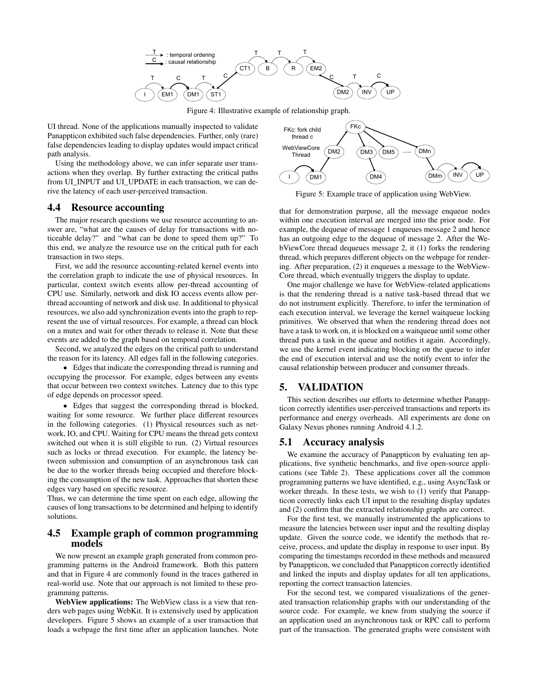

Figure 4: Illustrative example of relationship graph.

UI thread. None of the applications manually inspected to validate Panappticon exhibited such false dependencies. Further, only (rare) false dependencies leading to display updates would impact critical path analysis.

Using the methodology above, we can infer separate user transactions when they overlap. By further extracting the critical paths from UI\_INPUT and UI\_UPDATE in each transaction, we can derive the latency of each user-perceived transaction.

#### 4.4 Resource accounting

The major research questions we use resource accounting to answer are, "what are the causes of delay for transactions with noticeable delay?" and "what can be done to speed them up?" To this end, we analyze the resource use on the critical path for each transaction in two steps.

First, we add the resource accounting-related kernel events into the correlation graph to indicate the use of physical resources. In particular, context switch events allow per-thread accounting of CPU use. Similarly, network and disk IO access events allow perthread accounting of network and disk use. In additional to physical resources, we also add synchronization events into the graph to represent the use of virtual resources. For example, a thread can block on a mutex and wait for other threads to release it. Note that these events are added to the graph based on temporal correlation.

Second, we analyzed the edges on the critical path to understand the reason for its latency. All edges fall in the following categories.

• Edges that indicate the corresponding thread is running and occupying the processor. For example, edges between any events that occur between two context switches. Latency due to this type of edge depends on processor speed.

• Edges that suggest the corresponding thread is blocked, waiting for some resource. We further place different resources in the following categories. (1) Physical resources such as network, IO, and CPU. Waiting for CPU means the thread gets context switched out when it is still eligible to run. (2) Virtual resources such as locks or thread execution. For example, the latency between submission and consumption of an asynchronous task can be due to the worker threads being occupied and therefore blocking the consumption of the new task. Approaches that shorten these edges vary based on specific resource.

Thus, we can determine the time spent on each edge, allowing the causes of long transactions to be determined and helping to identify solutions.

## 4.5 Example graph of common programming models

We now present an example graph generated from common programming patterns in the Android framework. Both this pattern and that in Figure 4 are commonly found in the traces gathered in real-world use. Note that our approach is not limited to these programming patterns.

WebView applications: The WebView class is a view that renders web pages using WebKit. It is extensively used by application developers. Figure 5 shows an example of a user transaction that loads a webpage the first time after an application launches. Note



Figure 5: Example trace of application using WebView.

that for demonstration purpose, all the message enqueue nodes within one execution interval are merged into the prior node. For example, the dequeue of message 1 enqueues message 2 and hence has an outgoing edge to the dequeue of message 2. After the WebViewCore thread dequeues message 2, it (1) forks the rendering thread, which prepares different objects on the webpage for rendering. After preparation, (2) it enqueues a message to the WebView-Core thread, which eventually triggers the display to update.

One major challenge we have for WebView-related applications is that the rendering thread is a native task-based thread that we do not instrument explicitly. Therefore, to infer the termination of each execution interval, we leverage the kernel waitqueue locking primitives. We observed that when the rendering thread does not have a task to work on, it is blocked on a waitqueue until some other thread puts a task in the queue and notifies it again. Accordingly, we use the kernel event indicating blocking on the queue to infer the end of execution interval and use the notify event to infer the causal relationship between producer and consumer threads.

## 5. VALIDATION

This section describes our efforts to determine whether Panappticon correctly identifies user-perceived transactions and reports its performance and energy overheads. All experiments are done on Galaxy Nexus phones running Android 4.1.2.

#### 5.1 Accuracy analysis

We examine the accuracy of Panappticon by evaluating ten applications, five synthetic benchmarks, and five open-source applications (see Table 2). These applications cover all the common programming patterns we have identified, e.g., using AsyncTask or worker threads. In these tests, we wish to (1) verify that Panappticon correctly links each UI input to the resulting display updates and (2) confirm that the extracted relationship graphs are correct.

For the first test, we manually instrumented the applications to measure the latencies between user input and the resulting display update. Given the source code, we identify the methods that receive, process, and update the display in response to user input. By comparing the timestamps recorded in these methods and measured by Panappticon, we concluded that Panappticon correctly identified and linked the inputs and display updates for all ten applications, reporting the correct transaction latencies.

For the second test, we compared visualizations of the generated transaction relationship graphs with our understanding of the source code. For example, we knew from studying the source if an application used an asynchronous task or RPC call to perform part of the transaction. The generated graphs were consistent with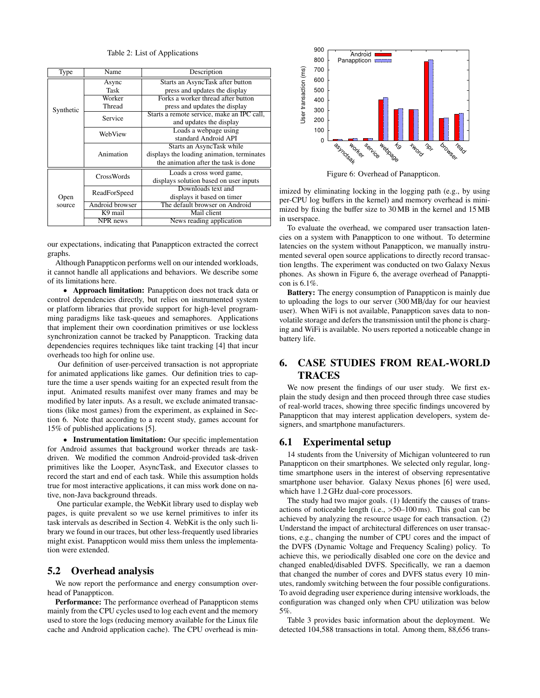Table 2: List of Applications

| Type           | Name              | Description                                |  |
|----------------|-------------------|--------------------------------------------|--|
|                | Async             | Starts an AsyncTask after button           |  |
|                | Task              | press and updates the display              |  |
|                | Worker            | Forks a worker thread after button         |  |
| Synthetic      | Thread            | press and updates the display              |  |
|                | Service           | Starts a remote service, make an IPC call, |  |
|                |                   | and updates the display                    |  |
|                | WebView           | Loads a webpage using                      |  |
|                |                   | standard Android API                       |  |
|                |                   | Starts an AsyncTask while                  |  |
|                | Animation         | displays the loading animation, terminates |  |
|                |                   | the animation after the task is done       |  |
|                | <b>CrossWords</b> | Loads a cross word game,                   |  |
|                |                   | displays solution based on user inputs     |  |
|                | ReadForSpeed      | Downloads text and                         |  |
| Open<br>source |                   | displays it based on timer                 |  |
|                | Android browser   | The default browser on Android             |  |
|                | $K9$ mail         | Mail client                                |  |
|                | <b>NPR</b> news   | News reading application                   |  |

our expectations, indicating that Panappticon extracted the correct graphs.

Although Panappticon performs well on our intended workloads, it cannot handle all applications and behaviors. We describe some of its limitations here.

• Approach limitation: Panappticon does not track data or control dependencies directly, but relies on instrumented system or platform libraries that provide support for high-level programming paradigms like task-queues and semaphores. Applications that implement their own coordination primitives or use lockless synchronization cannot be tracked by Panappticon. Tracking data dependencies requires techniques like taint tracking [4] that incur overheads too high for online use.

Our definition of user-perceived transaction is not appropriate for animated applications like games. Our definition tries to capture the time a user spends waiting for an expected result from the input. Animated results manifest over many frames and may be modified by later inputs. As a result, we exclude animated transactions (like most games) from the experiment, as explained in Section 6. Note that according to a recent study, games account for 15% of published applications [5].

• Instrumentation limitation: Our specific implementation for Android assumes that background worker threads are taskdriven. We modified the common Android-provided task-driven primitives like the Looper, AsyncTask, and Executor classes to record the start and end of each task. While this assumption holds true for most interactive applications, it can miss work done on native, non-Java background threads.

One particular example, the WebKit library used to display web pages, is quite prevalent so we use kernel primitives to infer its task intervals as described in Section 4. WebKit is the only such library we found in our traces, but other less-frequently used libraries might exist. Panappticon would miss them unless the implementation were extended.

## 5.2 Overhead analysis

We now report the performance and energy consumption overhead of Panappticon.

Performance: The performance overhead of Panappticon stems mainly from the CPU cycles used to log each event and the memory used to store the logs (reducing memory available for the Linux file cache and Android application cache). The CPU overhead is min-



Figure 6: Overhead of Panappticon.

imized by eliminating locking in the logging path (e.g., by using per-CPU log buffers in the kernel) and memory overhead is minimized by fixing the buffer size to 30 MB in the kernel and 15 MB in userspace.

To evaluate the overhead, we compared user transaction latencies on a system with Panappticon to one without. To determine latencies on the system without Panappticon, we manually instrumented several open source applications to directly record transaction lengths. The experiment was conducted on two Galaxy Nexus phones. As shown in Figure 6, the average overhead of Panappticon is 6.1%.

Battery: The energy consumption of Panappticon is mainly due to uploading the logs to our server (300 MB/day for our heaviest user). When WiFi is not available, Panappticon saves data to nonvolatile storage and defers the transmission until the phone is charging and WiFi is available. No users reported a noticeable change in battery life.

# 6. CASE STUDIES FROM REAL-WORLD TRACES

We now present the findings of our user study. We first explain the study design and then proceed through three case studies of real-world traces, showing three specific findings uncovered by Panappticon that may interest application developers, system designers, and smartphone manufacturers.

#### 6.1 Experimental setup

14 students from the University of Michigan volunteered to run Panappticon on their smartphones. We selected only regular, longtime smartphone users in the interest of observing representative smartphone user behavior. Galaxy Nexus phones [6] were used, which have 1.2 GHz dual-core processors.

The study had two major goals. (1) Identify the causes of transactions of noticeable length (i.e., >50–100 ms). This goal can be achieved by analyzing the resource usage for each transaction. (2) Understand the impact of architectural differences on user transactions, e.g., changing the number of CPU cores and the impact of the DVFS (Dynamic Voltage and Frequency Scaling) policy. To achieve this, we periodically disabled one core on the device and changed enabled/disabled DVFS. Specifically, we ran a daemon that changed the number of cores and DVFS status every 10 minutes, randomly switching between the four possible configurations. To avoid degrading user experience during intensive workloads, the configuration was changed only when CPU utilization was below 5%.

Table 3 provides basic information about the deployment. We detected 104,588 transactions in total. Among them, 88,656 trans-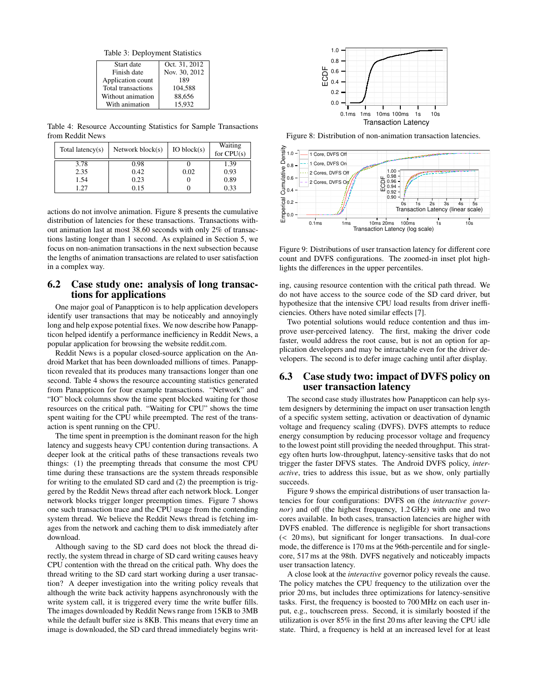Table 3: Deployment Statistics

| Start date         | Oct. 31, 2012 |
|--------------------|---------------|
|                    |               |
| Finish date        | Nov. 30, 2012 |
| Application count  | 189           |
| Total transactions | 104.588       |
| Without animation  | 88.656        |
| With animation     | 15.932        |

Table 4: Resource Accounting Statistics for Sample Transactions from Reddit News

| Total latency $(s)$ | Network block(s) | IO block $(s)$ | Waiting<br>for $CPU(s)$ |
|---------------------|------------------|----------------|-------------------------|
| 3.78                | 0.98             |                | 1.39                    |
| 2.35                | 0.42             | 0.02           | 0.93                    |
| 1.54                | 0.23             |                | 0.89                    |
| ာ"                  | 0.15             |                | 0.33                    |

actions do not involve animation. Figure 8 presents the cumulative distribution of latencies for these transactions. Transactions without animation last at most 38.60 seconds with only 2% of transactions lasting longer than 1 second. As explained in Section 5, we focus on non-animation transactions in the next subsection because the lengths of animation transactions are related to user satisfaction in a complex way.

## 6.2 Case study one: analysis of long transactions for applications

One major goal of Panappticon is to help application developers identify user transactions that may be noticeably and annoyingly long and help expose potential fixes. We now describe how Panappticon helped identify a performance inefficiency in Reddit News, a popular application for browsing the website reddit.com.

Reddit News is a popular closed-source application on the Android Market that has been downloaded millions of times. Panappticon revealed that its produces many transactions longer than one second. Table 4 shows the resource accounting statistics generated from Panappticon for four example transactions. "Network" and "IO" block columns show the time spent blocked waiting for those resources on the critical path. "Waiting for CPU" shows the time spent waiting for the CPU while preempted. The rest of the transaction is spent running on the CPU.

The time spent in preemption is the dominant reason for the high latency and suggests heavy CPU contention during transactions. A deeper look at the critical paths of these transactions reveals two things: (1) the preempting threads that consume the most CPU time during these transactions are the system threads responsible for writing to the emulated SD card and (2) the preemption is triggered by the Reddit News thread after each network block. Longer network blocks trigger longer preemption times. Figure 7 shows one such transaction trace and the CPU usage from the contending system thread. We believe the Reddit News thread is fetching images from the network and caching them to disk immediately after download.

Although saving to the SD card does not block the thread directly, the system thread in charge of SD card writing causes heavy CPU contention with the thread on the critical path. Why does the thread writing to the SD card start working during a user transaction? A deeper investigation into the writing policy reveals that although the write back activity happens asynchronously with the write system call, it is triggered every time the write buffer fills. The images downloaded by Reddit News range from 15KB to 3MB while the default buffer size is 8KB. This means that every time an image is downloaded, the SD card thread immediately begins writ-



Figure 8: Distribution of non-animation transaction latencies.



Figure 9: Distributions of user transaction latency for different core count and DVFS configurations. The zoomed-in inset plot highlights the differences in the upper percentiles.

ing, causing resource contention with the critical path thread. We do not have access to the source code of the SD card driver, but hypothesize that the intensive CPU load results from driver inefficiencies. Others have noted similar effects [7].

Two potential solutions would reduce contention and thus improve user-perceived latency. The first, making the driver code faster, would address the root cause, but is not an option for application developers and may be intractable even for the driver developers. The second is to defer image caching until after display.

#### 6.3 Case study two: impact of DVFS policy on user transaction latency

The second case study illustrates how Panappticon can help system designers by determining the impact on user transaction length of a specific system setting, activation or deactivation of dynamic voltage and frequency scaling (DVFS). DVFS attempts to reduce energy consumption by reducing processor voltage and frequency to the lowest point still providing the needed throughput. This strategy often hurts low-throughput, latency-sensitive tasks that do not trigger the faster DFVS states. The Android DVFS policy, *interactive*, tries to address this issue, but as we show, only partially succeeds.

Figure 9 shows the empirical distributions of user transaction latencies for four configurations: DVFS on (the *interactive governor*) and off (the highest frequency, 1.2 GHz) with one and two cores available. In both cases, transaction latencies are higher with DVFS enabled. The difference is negligible for short transactions (< 20 ms), but significant for longer transactions. In dual-core mode, the difference is 170 ms at the 96th-percentile and for singlecore, 517 ms at the 98th. DVFS negatively and noticeably impacts user transaction latency.

A close look at the *interactive* governor policy reveals the cause. The policy matches the CPU frequency to the utilization over the prior 20 ms, but includes three optimizations for latency-sensitive tasks. First, the frequency is boosted to 700 MHz on each user input, e.g., touchscreen press. Second, it is similarly boosted if the utilization is over 85% in the first 20 ms after leaving the CPU idle state. Third, a frequency is held at an increased level for at least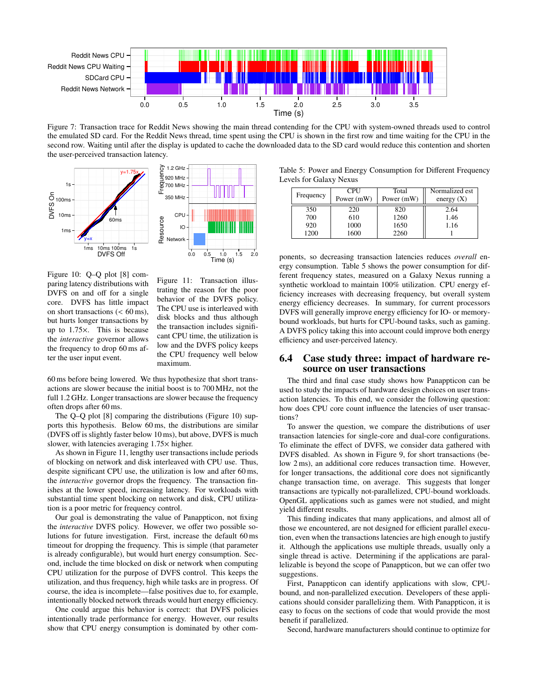

Figure 7: Transaction trace for Reddit News showing the main thread contending for the CPU with system-owned threads used to control the emulated SD card. For the Reddit News thread, time spent using the CPU is shown in the first row and time waiting for the CPU in the second row. Waiting until after the display is updated to cache the downloaded data to the SD card would reduce this contention and shorten the user-perceived transaction latency.



Figure 10: Q–Q plot [8] comparing latency distributions with DVFS on and off for a single core. DVFS has little impact on short transactions  $(< 60 \text{ ms})$ , but hurts longer transactions by up to 1.75×. This is because the *interactive* governor allows the frequency to drop 60 ms after the user input event.



Figure 11: Transaction illustrating the reason for the poor behavior of the DVFS policy. The CPU use is interleaved with disk blocks and thus although the transaction includes significant CPU time, the utilization is low and the DVFS policy keeps the CPU frequency well below maximum.

60 ms before being lowered. We thus hypothesize that short transactions are slower because the initial boost is to 700 MHz, not the full 1.2 GHz. Longer transactions are slower because the frequency often drops after 60 ms.

The Q–Q plot [8] comparing the distributions (Figure 10) supports this hypothesis. Below 60 ms, the distributions are similar (DVFS off is slightly faster below 10 ms), but above, DVFS is much slower, with latencies averaging 1.75× higher.

As shown in Figure 11, lengthy user transactions include periods of blocking on network and disk interleaved with CPU use. Thus, despite significant CPU use, the utilization is low and after 60 ms, the *interactive* governor drops the frequency. The transaction finishes at the lower speed, increasing latency. For workloads with substantial time spent blocking on network and disk, CPU utilization is a poor metric for frequency control.

Our goal is demonstrating the value of Panappticon, not fixing the *interactive* DVFS policy. However, we offer two possible solutions for future investigation. First, increase the default 60 ms timeout for dropping the frequency. This is simple (that parameter is already configurable), but would hurt energy consumption. Second, include the time blocked on disk or network when computing CPU utilization for the purpose of DVFS control. This keeps the utilization, and thus frequency, high while tasks are in progress. Of course, the idea is incomplete—false positives due to, for example, intentionally blocked network threads would hurt energy efficiency.

One could argue this behavior is correct: that DVFS policies intentionally trade performance for energy. However, our results show that CPU energy consumption is dominated by other com-

Table 5: Power and Energy Consumption for Different Frequency Levels for Galaxy Nexus

| Frequency | <b>CPU</b><br>Power (mW) | Total<br>Power (mW) | Normalized est<br>energy $(X)$ |
|-----------|--------------------------|---------------------|--------------------------------|
| 350       | 220                      | 820                 | 2.64                           |
| 700       | 610                      | 1260                | 1.46                           |
| 920       | 1000                     | 1650                | 1.16                           |
| 1200      | 1600                     | 2260                |                                |

ponents, so decreasing transaction latencies reduces *overall* energy consumption. Table 5 shows the power consumption for different frequency states, measured on a Galaxy Nexus running a synthetic workload to maintain 100% utilization. CPU energy efficiency increases with decreasing frequency, but overall system energy efficiency decreases. In summary, for current processors DVFS will generally improve energy efficiency for IO- or memorybound workloads, but hurts for CPU-bound tasks, such as gaming. A DVFS policy taking this into account could improve both energy efficiency and user-perceived latency.

#### 6.4 Case study three: impact of hardware resource on user transactions

The third and final case study shows how Panappticon can be used to study the impacts of hardware design choices on user transaction latencies. To this end, we consider the following question: how does CPU core count influence the latencies of user transactions?

To answer the question, we compare the distributions of user transaction latencies for single-core and dual-core configurations. To eliminate the effect of DVFS, we consider data gathered with DVFS disabled. As shown in Figure 9, for short transactions (below 2 ms), an additional core reduces transaction time. However, for longer transactions, the additional core does not significantly change transaction time, on average. This suggests that longer transactions are typically not-parallelized, CPU-bound workloads. OpenGL applications such as games were not studied, and might yield different results.

This finding indicates that many applications, and almost all of those we encountered, are not designed for efficient parallel execution, even when the transactions latencies are high enough to justify it. Although the applications use multiple threads, usually only a single thread is active. Determining if the applications are parallelizable is beyond the scope of Panappticon, but we can offer two suggestions.

First, Panappticon can identify applications with slow, CPUbound, and non-parallelized execution. Developers of these applications should consider parallelizing them. With Panappticon, it is easy to focus on the sections of code that would provide the most benefit if parallelized.

Second, hardware manufacturers should continue to optimize for